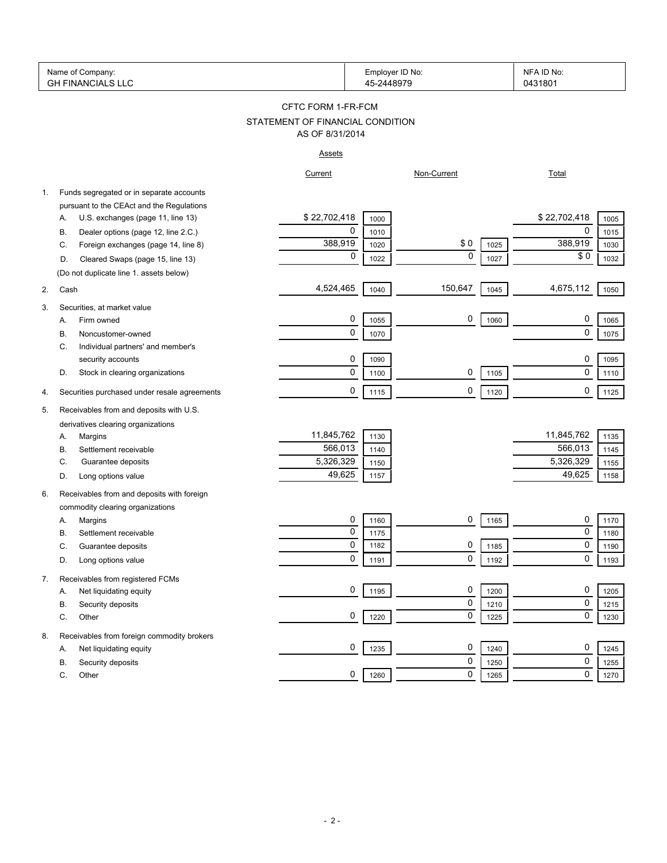|    | Name of Company:<br><b>GH FINANCIALS LLC</b> |                                  |      | Employer ID No:<br>45-2448979 | NFA ID No:<br>0431801 |                      |
|----|----------------------------------------------|----------------------------------|------|-------------------------------|-----------------------|----------------------|
|    |                                              | CFTC FORM 1-FR-FCM               |      |                               |                       |                      |
|    |                                              | STATEMENT OF FINANCIAL CONDITION |      |                               |                       |                      |
|    |                                              | AS OF 8/31/2014                  |      |                               |                       |                      |
|    |                                              | <u>Assets</u>                    |      |                               |                       |                      |
|    |                                              | Current                          |      | Non-Current                   |                       | <b>Total</b>         |
| 1. | Funds segregated or in separate accounts     |                                  |      |                               |                       |                      |
|    | pursuant to the CEAct and the Regulations    |                                  |      |                               |                       |                      |
|    | U.S. exchanges (page 11, line 13)<br>Α.      | \$22,702,418                     | 1000 |                               |                       | \$22,702,418<br>1005 |
|    | Dealer options (page 12, line 2.C.)<br>В.    | 0                                | 1010 |                               |                       | 0<br>1015            |
|    | Foreign exchanges (page 14, line 8)<br>C.    | 388,919                          | 1020 | \$0                           | 1025                  | 388,919<br>1030      |
|    | Cleared Swaps (page 15, line 13)<br>D.       | 0                                | 1022 | $\mathbf 0$                   | 1027                  | \$0<br>1032          |
|    | (Do not duplicate line 1. assets below)      |                                  |      |                               |                       |                      |
| 2. | Cash                                         | 4,524,465                        | 1040 | 150,647                       | 1045                  | 4,675,112<br>1050    |
| 3. | Securities, at market value                  |                                  |      |                               |                       |                      |
|    | Firm owned<br>А.                             | 0                                | 1055 | 0                             | 1060                  | 0<br>1065            |
|    | Noncustomer-owned<br>В.                      | 0                                | 1070 |                               |                       | 0<br>1075            |
|    | Individual partners' and member's<br>C.      |                                  |      |                               |                       |                      |
|    | security accounts                            | 0                                | 1090 |                               |                       | 0<br>1095            |
|    | Stock in clearing organizations<br>D.        | 0                                | 1100 | 0                             | 1105                  | $\mathbf 0$<br>1110  |
|    |                                              |                                  |      |                               |                       |                      |
| 4. | Securities purchased under resale agreements | 0                                | 1115 | 0                             | 1120                  | 0<br>1125            |
| 5. | Receivables from and deposits with U.S.      |                                  |      |                               |                       |                      |
|    | derivatives clearing organizations           |                                  |      |                               |                       |                      |
|    | Margins<br>А.                                | 11,845,762                       | 1130 |                               |                       | 11,845,762<br>1135   |
|    | Settlement receivable<br>В.                  | 566,013                          | 1140 |                               |                       | 566,013<br>1145      |
|    | Guarantee deposits<br>C.                     | 5,326,329                        | 1150 |                               |                       | 5,326,329<br>1155    |
|    | Long options value<br>D.                     | 49,625                           | 1157 |                               |                       | 49,625<br>1158       |
| 6. | Receivables from and deposits with foreign   |                                  |      |                               |                       |                      |
|    | commodity clearing organizations             |                                  |      |                               |                       |                      |
|    | Margins<br>А.                                | 0                                | 1160 | 0                             | 1165                  | 0<br>1170            |
|    | В.<br>Settlement receivable                  | 0                                | 1175 |                               |                       | 0<br>1180            |
|    | С<br>Guarantee deposits                      | $\Omega$                         | 1182 | $\Omega$                      | 1185                  | $\Omega$<br>1190     |
|    | Long options value<br>D.                     | 0                                | 1191 | 0                             | 1192                  | 0<br>1193            |
| 7. | Receivables from registered FCMs             |                                  |      |                               |                       |                      |
|    | Net liquidating equity<br>А.                 | 0                                | 1195 | 0                             | 1200                  | 0<br>1205            |
|    | Security deposits<br>В.                      |                                  |      | 0                             | 1210                  | $\mathbf 0$<br>1215  |
|    | Other<br>С.                                  | 0                                | 1220 | 0                             | 1225                  | 0<br>1230            |
|    |                                              |                                  |      |                               |                       |                      |
| 8. | Receivables from foreign commodity brokers   |                                  |      |                               |                       |                      |
|    | Net liquidating equity<br>А.                 | 0                                | 1235 | 0                             | 1240                  | 0<br>1245            |
|    | Security deposits<br>В.                      |                                  |      | 0                             | 1250                  | 0<br>1255            |
|    | С.<br>Other                                  | 0                                | 1260 | 0                             | 1265                  | $\mathbf 0$<br>1270  |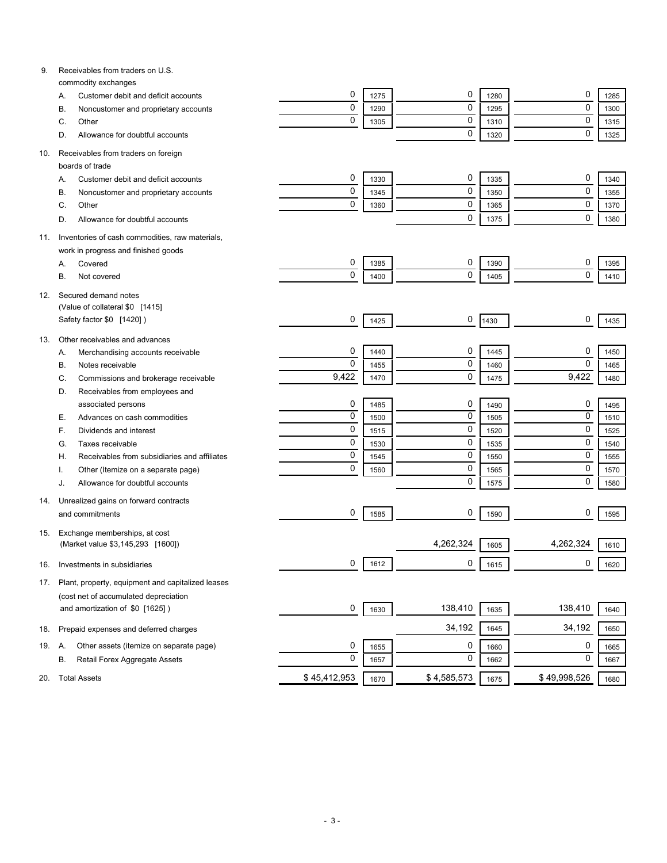| 9.  | Receivables from traders on U.S.                                 |              |      |             |      |              |      |
|-----|------------------------------------------------------------------|--------------|------|-------------|------|--------------|------|
|     | commodity exchanges<br>Customer debit and deficit accounts<br>Α. | 0            | 1275 | 0           | 1280 | 0            | 1285 |
|     | Noncustomer and proprietary accounts<br>В.                       | $\mathbf 0$  | 1290 | 0           | 1295 | $\mathbf 0$  | 1300 |
|     | C.<br>Other                                                      | $\mathbf 0$  | 1305 | 0           | 1310 | $\mathbf 0$  | 1315 |
|     | Allowance for doubtful accounts<br>D.                            |              |      | 0           | 1320 | $\mathbf 0$  | 1325 |
|     |                                                                  |              |      |             |      |              |      |
| 10. | Receivables from traders on foreign                              |              |      |             |      |              |      |
|     | boards of trade                                                  |              |      |             |      |              |      |
|     | Customer debit and deficit accounts<br>Α.                        | 0            | 1330 | 0           | 1335 | 0            | 1340 |
|     | Noncustomer and proprietary accounts<br>B                        | 0            | 1345 | 0           | 1350 | $\mathbf 0$  | 1355 |
|     | Other<br>C.                                                      | 0            | 1360 | 0           | 1365 | $\mathbf 0$  | 1370 |
|     | Allowance for doubtful accounts<br>D.                            |              |      | 0           | 1375 | $\mathbf 0$  | 1380 |
| 11. | Inventories of cash commodities, raw materials,                  |              |      |             |      |              |      |
|     | work in progress and finished goods                              |              |      |             |      |              |      |
|     | Covered<br>Α.                                                    | 0            | 1385 | 0           | 1390 | 0            | 1395 |
|     | В.<br>Not covered                                                | 0            | 1400 | 0           | 1405 | $\mathbf 0$  | 1410 |
|     |                                                                  |              |      |             |      |              |      |
| 12. | Secured demand notes<br>(Value of collateral \$0 [1415]          |              |      |             |      |              |      |
|     | Safety factor \$0 [1420])                                        | 0            | 1425 | 0           | 1430 | 0            | 1435 |
|     |                                                                  |              |      |             |      |              |      |
| 13. | Other receivables and advances                                   |              |      |             |      |              |      |
|     | Merchandising accounts receivable<br>А.                          | 0            | 1440 | 0           | 1445 | 0            | 1450 |
|     | Notes receivable<br>В.                                           | $\mathbf 0$  | 1455 | 0           | 1460 | $\mathbf 0$  | 1465 |
|     | Commissions and brokerage receivable<br>C.                       | 9,422        | 1470 | 0           | 1475 | 9,422        | 1480 |
|     | Receivables from employees and<br>D.                             |              |      |             |      |              |      |
|     | associated persons                                               | 0            | 1485 | 0           | 1490 | 0            | 1495 |
|     | Advances on cash commodities<br>Е.                               | $\mathbf 0$  | 1500 | 0           | 1505 | $\mathbf 0$  | 1510 |
|     | Dividends and interest<br>F.                                     | $\mathbf 0$  | 1515 | 0           | 1520 | $\mathbf 0$  | 1525 |
|     | Taxes receivable<br>G.                                           | $\mathbf 0$  | 1530 | 0           | 1535 | $\mathbf 0$  | 1540 |
|     | Receivables from subsidiaries and affiliates<br>Н.               | $\mathbf 0$  | 1545 | 0           | 1550 | $\mathbf 0$  | 1555 |
|     | Other (Itemize on a separate page)                               | $\mathbf 0$  | 1560 | 0           | 1565 | $\mathbf 0$  | 1570 |
|     | Allowance for doubtful accounts<br>J.                            |              |      | 0           | 1575 | $\mathbf 0$  | 1580 |
| 14. | Unrealized gains on forward contracts                            |              |      |             |      |              |      |
|     | and commitments                                                  | 0            | 1585 | 0           | 1590 | 0            | 1595 |
|     |                                                                  |              |      |             |      |              |      |
| 15. | Exchange memberships, at cost                                    |              |      | 4,262,324   |      | 4,262,324    |      |
|     | (Market value \$3,145,293 [1600])                                |              |      |             | 1605 |              | 1610 |
| 16. | Investments in subsidiaries                                      | 0            | 1612 | 0           | 1615 | 0            | 1620 |
| 17. | Plant, property, equipment and capitalized leases                |              |      |             |      |              |      |
|     | (cost net of accumulated depreciation                            |              |      |             |      |              |      |
|     | and amortization of \$0 [1625])                                  | 0            | 1630 | 138,410     | 1635 | 138,410      | 1640 |
|     |                                                                  |              |      |             |      |              |      |
| 18. | Prepaid expenses and deferred charges                            |              |      | 34,192      | 1645 | 34,192       | 1650 |
| 19. | Other assets (itemize on separate page)<br>Α.                    | 0            | 1655 | 0           | 1660 | 0            | 1665 |
|     | Retail Forex Aggregate Assets<br>В.                              | $\mathbf 0$  | 1657 | 0           | 1662 | 0            | 1667 |
| 20. | <b>Total Assets</b>                                              | \$45,412,953 |      | \$4,585,573 |      | \$49,998,526 |      |
|     |                                                                  |              | 1670 |             | 1675 |              | 1680 |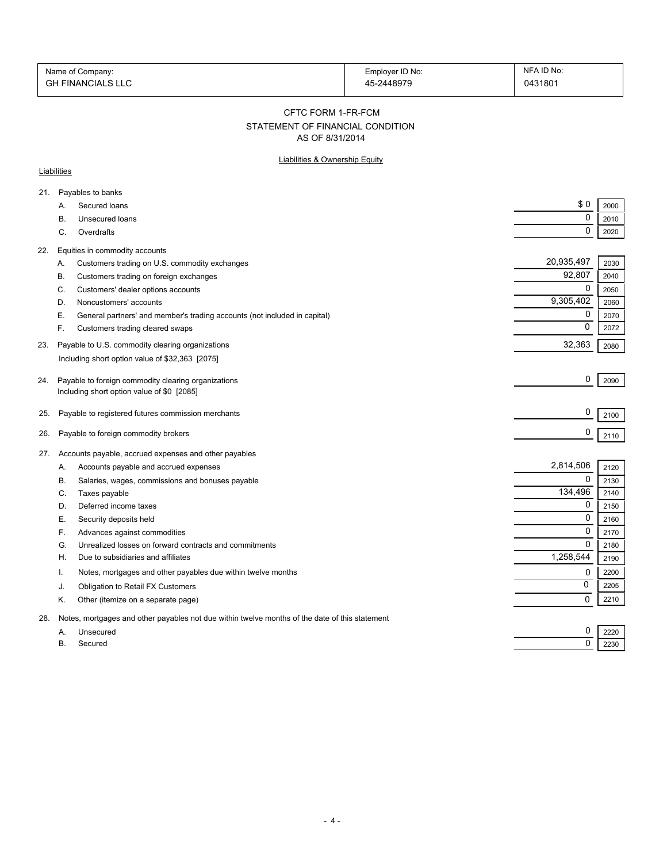| Name of Company:         | Employer ID No: | NFA ID No: |
|--------------------------|-----------------|------------|
| <b>GH FINANCIALS LLC</b> | 45-2448979      | 0431801    |

#### CFTC FORM 1-FR-FCM

## STATEMENT OF FINANCIAL CONDITION

AS OF 8/31/2014

### Liabilities & Ownership Equity

### **Liabilities**

| A.        | Secured loans                                                             | \$0                                                                                                                                                                                                                                                                                                                                                                                                                                                                                                                                                                                                                                 | 2000                                               |
|-----------|---------------------------------------------------------------------------|-------------------------------------------------------------------------------------------------------------------------------------------------------------------------------------------------------------------------------------------------------------------------------------------------------------------------------------------------------------------------------------------------------------------------------------------------------------------------------------------------------------------------------------------------------------------------------------------------------------------------------------|----------------------------------------------------|
| В.        | Unsecured loans                                                           | 0                                                                                                                                                                                                                                                                                                                                                                                                                                                                                                                                                                                                                                   | 2010                                               |
| C.        | Overdrafts                                                                | 0                                                                                                                                                                                                                                                                                                                                                                                                                                                                                                                                                                                                                                   | 2020                                               |
|           |                                                                           |                                                                                                                                                                                                                                                                                                                                                                                                                                                                                                                                                                                                                                     |                                                    |
| Α.        |                                                                           | 20,935,497                                                                                                                                                                                                                                                                                                                                                                                                                                                                                                                                                                                                                          | 2030                                               |
| В.        | Customers trading on foreign exchanges                                    | 92,807                                                                                                                                                                                                                                                                                                                                                                                                                                                                                                                                                                                                                              | 2040                                               |
| C.        | Customers' dealer options accounts                                        | $\mathbf 0$                                                                                                                                                                                                                                                                                                                                                                                                                                                                                                                                                                                                                         | 2050                                               |
| D.        | Noncustomers' accounts                                                    | 9,305,402                                                                                                                                                                                                                                                                                                                                                                                                                                                                                                                                                                                                                           | 2060                                               |
| Е.        | General partners' and member's trading accounts (not included in capital) | 0                                                                                                                                                                                                                                                                                                                                                                                                                                                                                                                                                                                                                                   | 2070                                               |
| F.        | Customers trading cleared swaps                                           | 0                                                                                                                                                                                                                                                                                                                                                                                                                                                                                                                                                                                                                                   | 2072                                               |
|           |                                                                           | 32,363                                                                                                                                                                                                                                                                                                                                                                                                                                                                                                                                                                                                                              | 2080                                               |
|           |                                                                           |                                                                                                                                                                                                                                                                                                                                                                                                                                                                                                                                                                                                                                     |                                                    |
|           |                                                                           |                                                                                                                                                                                                                                                                                                                                                                                                                                                                                                                                                                                                                                     |                                                    |
|           |                                                                           |                                                                                                                                                                                                                                                                                                                                                                                                                                                                                                                                                                                                                                     | 2090                                               |
|           |                                                                           |                                                                                                                                                                                                                                                                                                                                                                                                                                                                                                                                                                                                                                     |                                                    |
|           |                                                                           | 0                                                                                                                                                                                                                                                                                                                                                                                                                                                                                                                                                                                                                                   | 2100                                               |
|           |                                                                           | 0                                                                                                                                                                                                                                                                                                                                                                                                                                                                                                                                                                                                                                   | 2110                                               |
|           |                                                                           |                                                                                                                                                                                                                                                                                                                                                                                                                                                                                                                                                                                                                                     |                                                    |
|           |                                                                           |                                                                                                                                                                                                                                                                                                                                                                                                                                                                                                                                                                                                                                     |                                                    |
| А.        |                                                                           |                                                                                                                                                                                                                                                                                                                                                                                                                                                                                                                                                                                                                                     | 2120                                               |
| В.        | Salaries, wages, commissions and bonuses payable                          |                                                                                                                                                                                                                                                                                                                                                                                                                                                                                                                                                                                                                                     | 2130                                               |
| C.        |                                                                           |                                                                                                                                                                                                                                                                                                                                                                                                                                                                                                                                                                                                                                     | 2140                                               |
| D.        | Deferred income taxes                                                     |                                                                                                                                                                                                                                                                                                                                                                                                                                                                                                                                                                                                                                     | 2150                                               |
| Е.        | Security deposits held                                                    |                                                                                                                                                                                                                                                                                                                                                                                                                                                                                                                                                                                                                                     | 2160                                               |
| F.        | Advances against commodities                                              | 0                                                                                                                                                                                                                                                                                                                                                                                                                                                                                                                                                                                                                                   | 2170                                               |
| G.        | Unrealized losses on forward contracts and commitments                    | $\Omega$                                                                                                                                                                                                                                                                                                                                                                                                                                                                                                                                                                                                                            | 2180                                               |
| Н.        | Due to subsidiaries and affiliates                                        | 1,258,544                                                                                                                                                                                                                                                                                                                                                                                                                                                                                                                                                                                                                           | 2190                                               |
| Ι.        | Notes, mortgages and other payables due within twelve months              | 0                                                                                                                                                                                                                                                                                                                                                                                                                                                                                                                                                                                                                                   | 2200                                               |
| J.        | Obligation to Retail FX Customers                                         | 0                                                                                                                                                                                                                                                                                                                                                                                                                                                                                                                                                                                                                                   | 2205                                               |
| Κ.        | Other (itemize on a separate page)                                        | 0                                                                                                                                                                                                                                                                                                                                                                                                                                                                                                                                                                                                                                   | 2210                                               |
|           |                                                                           |                                                                                                                                                                                                                                                                                                                                                                                                                                                                                                                                                                                                                                     |                                                    |
| А.        | Unsecured                                                                 | 0                                                                                                                                                                                                                                                                                                                                                                                                                                                                                                                                                                                                                                   | 2220                                               |
| <b>B.</b> | Secured                                                                   | 0                                                                                                                                                                                                                                                                                                                                                                                                                                                                                                                                                                                                                                   | 2230                                               |
|           | 27.                                                                       | Payables to banks<br>Equities in commodity accounts<br>Customers trading on U.S. commodity exchanges<br>Payable to U.S. commodity clearing organizations<br>Including short option value of \$32,363 [2075]<br>Payable to foreign commodity clearing organizations<br>Including short option value of \$0 [2085]<br>Payable to registered futures commission merchants<br>Payable to foreign commodity brokers<br>Accounts payable, accrued expenses and other payables<br>Accounts payable and accrued expenses<br>Taxes payable<br>Notes, mortgages and other payables not due within twelve months of the date of this statement | 0<br>2,814,506<br>0<br>134,496<br>0<br>$\mathbf 0$ |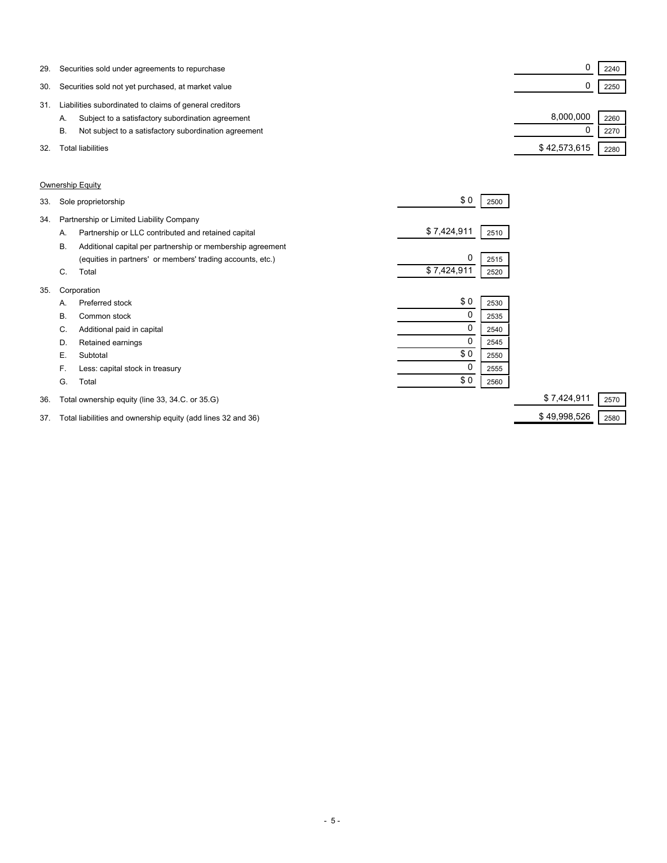| 29. | Securities sold under agreements to repurchase              |              | 2240 |  |
|-----|-------------------------------------------------------------|--------------|------|--|
| 30. | Securities sold not yet purchased, at market value          |              | 2250 |  |
| 31. | Liabilities subordinated to claims of general creditors     |              |      |  |
|     | Subject to a satisfactory subordination agreement<br>А.     | 8,000,000    | 2260 |  |
|     | Not subject to a satisfactory subordination agreement<br>В. |              | 2270 |  |
| 32. | Total liabilities                                           | \$42,573,615 | 2280 |  |

### Ownership Equity

| 34.<br>Partnership or Limited Liability Company<br>\$7,424,911<br>Partnership or LLC contributed and retained capital<br>2510<br>А.<br><b>B.</b><br>Additional capital per partnership or membership agreement<br>0<br>(equities in partners' or members' trading accounts, etc.)<br>2515<br>\$7,424,911<br>Total<br>C.<br>2520<br>35.<br>Corporation<br>\$0<br>Preferred stock<br>2530<br>А.<br>0<br>В.<br>Common stock<br>2535<br>0<br>Additional paid in capital<br>C.<br>2540<br>Retained earnings<br>D.<br>2545<br>\$0<br>Е.<br>Subtotal<br>2550<br>0<br>F.<br>Less: capital stock in treasury<br>2555<br>\$0<br>G.<br>Total<br>2560<br>Total ownership equity (line 33, 34.C. or 35.G)<br>36. | 33. | Sole proprietorship | \$0 | 2500 |             |      |
|-----------------------------------------------------------------------------------------------------------------------------------------------------------------------------------------------------------------------------------------------------------------------------------------------------------------------------------------------------------------------------------------------------------------------------------------------------------------------------------------------------------------------------------------------------------------------------------------------------------------------------------------------------------------------------------------------------|-----|---------------------|-----|------|-------------|------|
|                                                                                                                                                                                                                                                                                                                                                                                                                                                                                                                                                                                                                                                                                                     |     |                     |     |      |             |      |
|                                                                                                                                                                                                                                                                                                                                                                                                                                                                                                                                                                                                                                                                                                     |     |                     |     |      |             |      |
|                                                                                                                                                                                                                                                                                                                                                                                                                                                                                                                                                                                                                                                                                                     |     |                     |     |      |             |      |
|                                                                                                                                                                                                                                                                                                                                                                                                                                                                                                                                                                                                                                                                                                     |     |                     |     |      |             |      |
|                                                                                                                                                                                                                                                                                                                                                                                                                                                                                                                                                                                                                                                                                                     |     |                     |     |      |             |      |
|                                                                                                                                                                                                                                                                                                                                                                                                                                                                                                                                                                                                                                                                                                     |     |                     |     |      |             |      |
|                                                                                                                                                                                                                                                                                                                                                                                                                                                                                                                                                                                                                                                                                                     |     |                     |     |      |             |      |
|                                                                                                                                                                                                                                                                                                                                                                                                                                                                                                                                                                                                                                                                                                     |     |                     |     |      |             |      |
|                                                                                                                                                                                                                                                                                                                                                                                                                                                                                                                                                                                                                                                                                                     |     |                     |     |      |             |      |
|                                                                                                                                                                                                                                                                                                                                                                                                                                                                                                                                                                                                                                                                                                     |     |                     |     |      |             |      |
|                                                                                                                                                                                                                                                                                                                                                                                                                                                                                                                                                                                                                                                                                                     |     |                     |     |      |             |      |
|                                                                                                                                                                                                                                                                                                                                                                                                                                                                                                                                                                                                                                                                                                     |     |                     |     |      |             |      |
|                                                                                                                                                                                                                                                                                                                                                                                                                                                                                                                                                                                                                                                                                                     |     |                     |     |      |             |      |
|                                                                                                                                                                                                                                                                                                                                                                                                                                                                                                                                                                                                                                                                                                     |     |                     |     |      | \$7,424,911 | 2570 |

37. Total liabilities and ownership equity (add lines 32 and 36) \$ 49,998,526 2580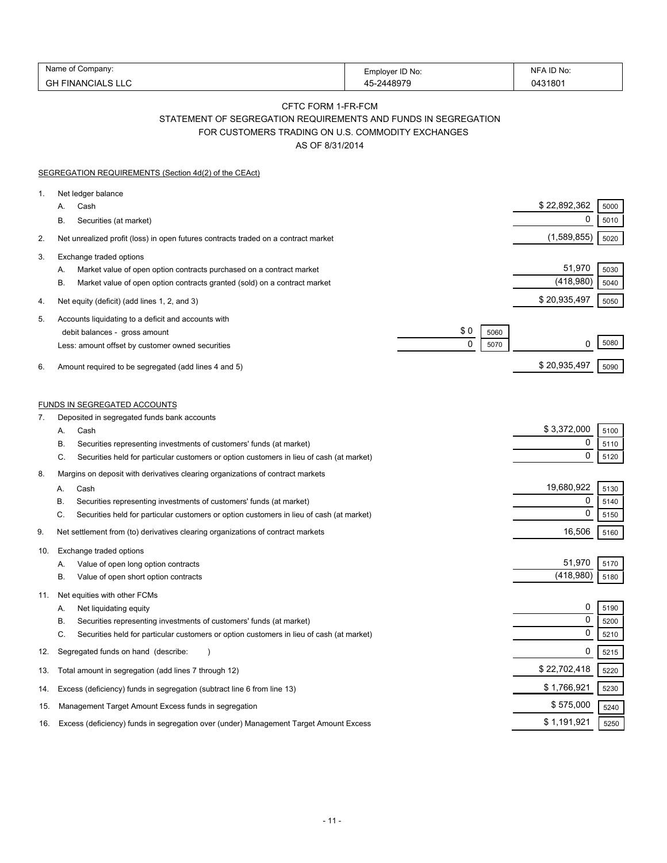| Name<br>Company:                | Employer ID No: | ID No<br><b>NE</b>  |
|---------------------------------|-----------------|---------------------|
| FINANCIALS LLC<br>$\sim$<br>UГ. | 2448979         | 043180 <sup>.</sup> |

# CFTC FORM 1-FR-FCM STATEMENT OF SEGREGATION REQUIREMENTS AND FUNDS IN SEGREGATION FOR CUSTOMERS TRADING ON U.S. COMMODITY EXCHANGES

AS OF 8/31/2014

|          | SEGREGATION REQUIREMENTS (Section 4d(2) of the CEAct)                                                                                                                                                                                       |                          |                                 |                      |
|----------|---------------------------------------------------------------------------------------------------------------------------------------------------------------------------------------------------------------------------------------------|--------------------------|---------------------------------|----------------------|
| 1.       | Net ledger balance<br>Cash<br>А.<br>Securities (at market)<br>В.                                                                                                                                                                            |                          | \$22,892,362<br>0               | 5000<br>5010         |
| 2.       | Net unrealized profit (loss) in open futures contracts traded on a contract market                                                                                                                                                          |                          | (1,589,855)                     | 5020                 |
| 3.       | Exchange traded options<br>Market value of open option contracts purchased on a contract market<br>А.<br>Β.<br>Market value of open option contracts granted (sold) on a contract market                                                    |                          | 51,970<br>(418,980)             | 5030<br>5040         |
| 4.       | Net equity (deficit) (add lines 1, 2, and 3)                                                                                                                                                                                                |                          | \$20,935,497                    | 5050                 |
| 5.<br>6. | Accounts liquidating to a deficit and accounts with<br>debit balances - gross amount<br>Less: amount offset by customer owned securities<br>Amount required to be segregated (add lines 4 and 5)                                            | \$0<br>5060<br>0<br>5070 | 0<br>\$20,935,497               | 5080<br>5090         |
|          |                                                                                                                                                                                                                                             |                          |                                 |                      |
|          | <b>FUNDS IN SEGREGATED ACCOUNTS</b>                                                                                                                                                                                                         |                          |                                 |                      |
| 7.       | Deposited in segregated funds bank accounts<br>Cash<br>А.<br>В.<br>Securities representing investments of customers' funds (at market)<br>C.<br>Securities held for particular customers or option customers in lieu of cash (at market)    |                          | \$3,372,000<br>0<br>$\mathbf 0$ | 5100<br>5110<br>5120 |
| 8.       | Margins on deposit with derivatives clearing organizations of contract markets                                                                                                                                                              |                          |                                 |                      |
|          | Cash<br>А.<br>В.<br>Securities representing investments of customers' funds (at market)<br>C.<br>Securities held for particular customers or option customers in lieu of cash (at market)                                                   |                          | 19,680,922<br>0<br>$\mathbf 0$  | 5130<br>5140<br>5150 |
| 9.       | Net settlement from (to) derivatives clearing organizations of contract markets                                                                                                                                                             |                          | 16,506                          | 5160                 |
| 10.      | Exchange traded options<br>Value of open long option contracts<br>А.<br>Value of open short option contracts<br>В.                                                                                                                          |                          | 51,970<br>(418,980)             | 5170<br>5180         |
| 11.      | Net equities with other FCMs<br>Net liquidating equity<br>А.<br>Securities representing investments of customers' funds (at market)<br>В.<br>Securities held for particular customers or option customers in lieu of cash (at market)<br>C. |                          | 0<br>0<br>0                     | 5190<br>5200<br>5210 |
| 12.      | Segregated funds on hand (describe:                                                                                                                                                                                                         |                          | 0                               | 5215                 |
| 13.      | Total amount in segregation (add lines 7 through 12)                                                                                                                                                                                        |                          | \$22,702,418                    | 5220                 |
| 14.      | Excess (deficiency) funds in segregation (subtract line 6 from line 13)                                                                                                                                                                     |                          | \$1,766,921                     | 5230                 |
| 15.      | Management Target Amount Excess funds in segregation                                                                                                                                                                                        |                          | \$575,000                       | 5240                 |
| 16.      | Excess (deficiency) funds in segregation over (under) Management Target Amount Excess                                                                                                                                                       |                          | \$1,191,921                     | 5250                 |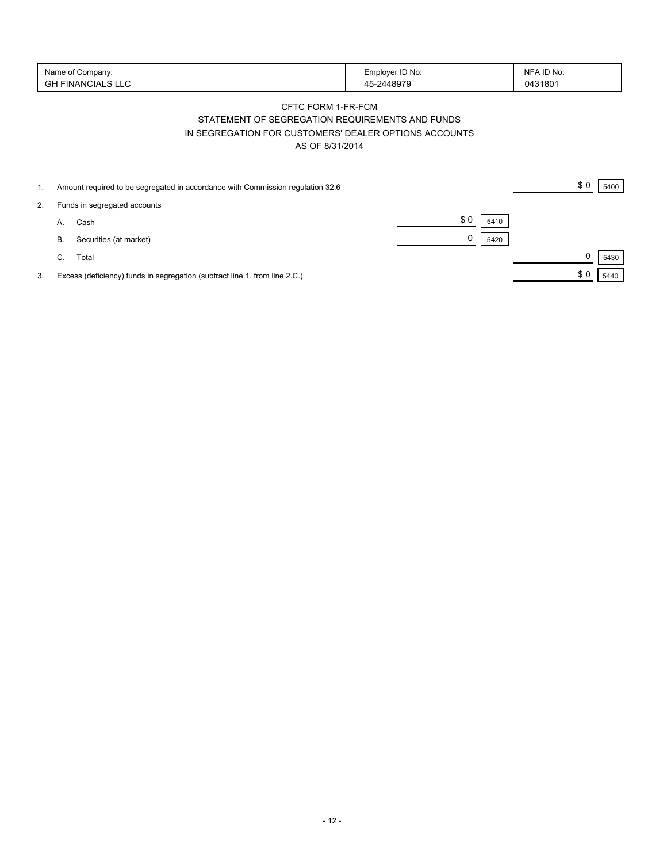| Name of Company:<br>' FINANCIALS LLU<br>GH | Employer ID No:<br>$-2448979$ | NFA ID No:<br>0431801 |
|--------------------------------------------|-------------------------------|-----------------------|
|--------------------------------------------|-------------------------------|-----------------------|

## CFTC FORM 1-FR-FCM STATEMENT OF SEGREGATION REQUIREMENTS AND FUNDS IN SEGREGATION FOR CUSTOMERS' DEALER OPTIONS ACCOUNTS AS OF 8/31/2014

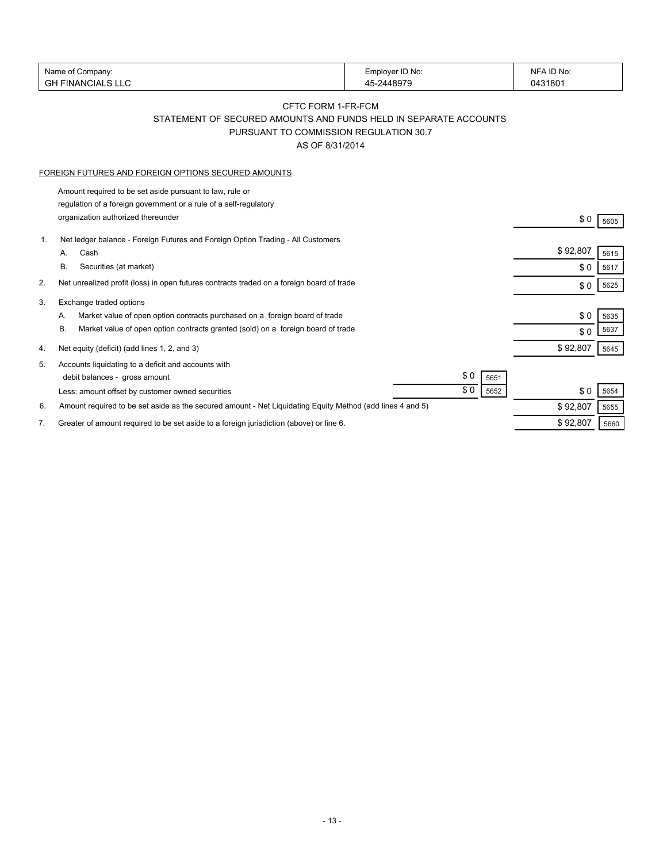|    | Name of Company:                                                                                          | Employer ID No: | NFA ID No: |      |
|----|-----------------------------------------------------------------------------------------------------------|-----------------|------------|------|
|    | <b>GH FINANCIALS LLC</b>                                                                                  | 45-2448979      | 0431801    |      |
|    |                                                                                                           |                 |            |      |
|    | CFTC FORM 1-FR-FCM                                                                                        |                 |            |      |
|    | STATEMENT OF SECURED AMOUNTS AND FUNDS HELD IN SEPARATE ACCOUNTS                                          |                 |            |      |
|    | PURSUANT TO COMMISSION REGULATION 30.7                                                                    |                 |            |      |
|    | AS OF 8/31/2014                                                                                           |                 |            |      |
|    |                                                                                                           |                 |            |      |
|    | FOREIGN FUTURES AND FOREIGN OPTIONS SECURED AMOUNTS                                                       |                 |            |      |
|    | Amount required to be set aside pursuant to law, rule or                                                  |                 |            |      |
|    | regulation of a foreign government or a rule of a self-regulatory                                         |                 |            |      |
|    | organization authorized thereunder                                                                        |                 | \$0        | 5605 |
| 1. | Net ledger balance - Foreign Futures and Foreign Option Trading - All Customers                           |                 |            |      |
|    | Cash<br>А.                                                                                                |                 | \$92,807   | 5615 |
|    | В.<br>Securities (at market)                                                                              |                 | \$0        | 5617 |
| 2. | Net unrealized profit (loss) in open futures contracts traded on a foreign board of trade                 |                 | \$0        | 5625 |
| 3. | Exchange traded options                                                                                   |                 |            |      |
|    | Market value of open option contracts purchased on a foreign board of trade<br>А.                         |                 | \$0        | 5635 |
|    | В.<br>Market value of open option contracts granted (sold) on a foreign board of trade                    |                 | \$0        | 5637 |
| 4. | Net equity (deficit) (add lines 1, 2, and 3)                                                              |                 | \$92,807   | 5645 |
|    |                                                                                                           |                 |            |      |
| 5. | Accounts liquidating to a deficit and accounts with                                                       | \$0             |            |      |
|    | debit balances - gross amount                                                                             | 5651<br>\$0     |            |      |
|    | Less: amount offset by customer owned securities                                                          | 5652            | \$0        | 5654 |
| 6. | Amount required to be set aside as the secured amount - Net Liquidating Equity Method (add lines 4 and 5) |                 | \$92,807   | 5655 |
| 7. | Greater of amount required to be set aside to a foreign jurisdiction (above) or line 6.                   |                 | \$92,807   | 5660 |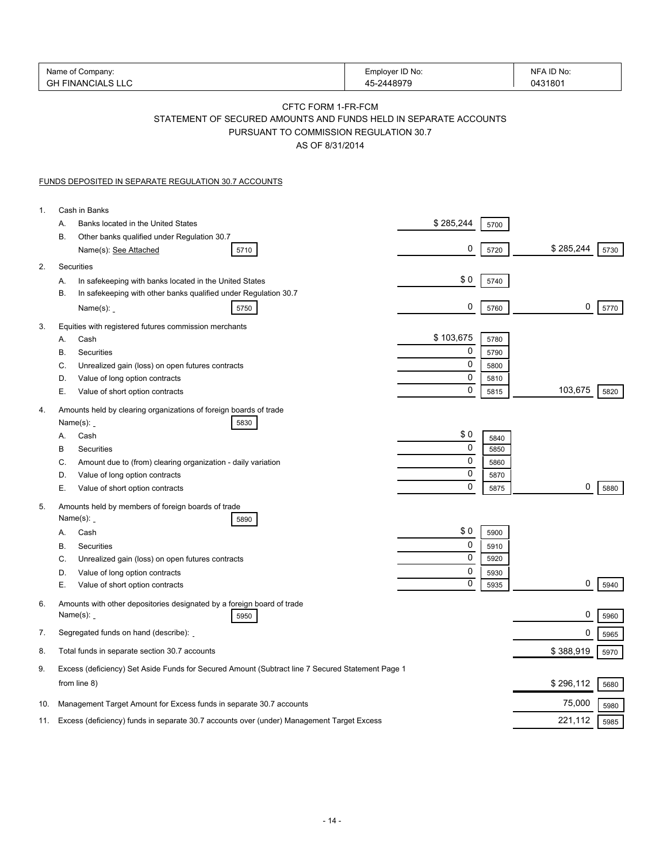|     | Name of Company:<br><b>GH FINANCIALS LLC</b>                                                                                                        | Employer ID No:<br>45-2448979 | NFA ID No:<br>0431801 |
|-----|-----------------------------------------------------------------------------------------------------------------------------------------------------|-------------------------------|-----------------------|
|     | CFTC FORM 1-FR-FCM<br>STATEMENT OF SECURED AMOUNTS AND FUNDS HELD IN SEPARATE ACCOUNTS<br>PURSUANT TO COMMISSION REGULATION 30.7<br>AS OF 8/31/2014 |                               |                       |
|     | FUNDS DEPOSITED IN SEPARATE REGULATION 30.7 ACCOUNTS                                                                                                |                               |                       |
| 1.  | Cash in Banks                                                                                                                                       |                               |                       |
|     | Banks located in the United States<br>А.                                                                                                            | \$285,244<br>5700             |                       |
|     | В.<br>Other banks qualified under Regulation 30.7<br>Name(s): See Attached<br>5710                                                                  | 0<br>5720                     | \$285,244<br>5730     |
| 2.  | Securities                                                                                                                                          |                               |                       |
|     | In safekeeping with banks located in the United States<br>А.                                                                                        | \$0<br>5740                   |                       |
|     | В.<br>In safekeeping with other banks qualified under Regulation 30.7<br>Name $(s)$ :<br>5750                                                       | 0<br>5760                     | 0<br>5770             |
| 3.  | Equities with registered futures commission merchants                                                                                               |                               |                       |
|     | Cash<br>А.                                                                                                                                          | \$103,675<br>5780             |                       |
|     | В.<br>Securities                                                                                                                                    | 0<br>5790                     |                       |
|     | C.<br>Unrealized gain (loss) on open futures contracts                                                                                              | 0<br>5800<br>0                |                       |
|     | D.<br>Value of long option contracts<br>Е.<br>Value of short option contracts                                                                       | 5810<br>$\mathbf 0$<br>5815   | 103,675<br>5820       |
| 4.  | Amounts held by clearing organizations of foreign boards of trade<br>Name $(s)$ :<br>5830                                                           |                               |                       |
|     | Cash<br>А.                                                                                                                                          | \$0<br>5840                   |                       |
|     | В<br>Securities                                                                                                                                     | 0<br>5850                     |                       |
|     | C.<br>Amount due to (from) clearing organization - daily variation                                                                                  | 0<br>5860                     |                       |
|     | D.<br>Value of long option contracts                                                                                                                | 0<br>5870                     |                       |
|     | Е.<br>Value of short option contracts                                                                                                               | 0<br>5875                     | 0<br>5880             |
| 5.  | Amounts held by members of foreign boards of trade<br>Name $(s)$ :<br>5890                                                                          |                               |                       |
|     | Cash<br>А.                                                                                                                                          | \$0<br>5900                   |                       |
|     | В.<br>Securities                                                                                                                                    | 0<br>5910                     |                       |
|     | C.<br>Unrealized gain (loss) on open futures contracts                                                                                              | 0<br>5920                     |                       |
|     | Value of long option contracts<br>D.                                                                                                                | 0<br>5930                     |                       |
|     | Е.<br>Value of short option contracts                                                                                                               | 0<br>5935                     | 0<br>5940             |
| 6.  | Amounts with other depositories designated by a foreign board of trade<br>Name $(s)$ :<br>5950                                                      |                               | 0<br>5960             |
| 7.  | Segregated funds on hand (describe):                                                                                                                |                               | 0<br>5965             |
| 8.  | Total funds in separate section 30.7 accounts                                                                                                       |                               | \$388,919<br>5970     |
| 9.  | Excess (deficiency) Set Aside Funds for Secured Amount (Subtract line 7 Secured Statement Page 1<br>from line 8)                                    |                               | \$296,112<br>5680     |
| 10. | Management Target Amount for Excess funds in separate 30.7 accounts                                                                                 |                               | 75,000<br>5980        |
| 11. | Excess (deficiency) funds in separate 30.7 accounts over (under) Management Target Excess                                                           |                               | 221,112<br>5985       |
|     |                                                                                                                                                     |                               |                       |